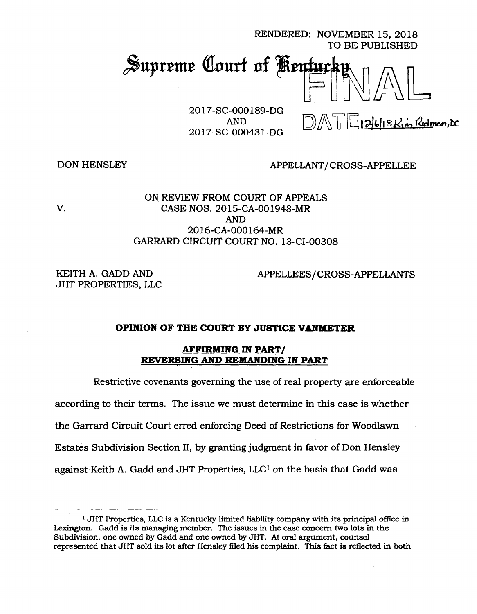RENDERED: NOVEMBER 15, 2018 TO BE PUBLISHED

 $\mathcal{D}/\mathcal{D}$ 

# Supreme Court of Kentur

2017-SC-000189-DG and 2017-SC-000431-DG

V.

DON HENSLEY APPELLANT/CROSS-APPELLEE

 $\mathbb{T}$  albl $_1$ 8 Kin Redmon, DC

ON REVIEW FROM COURT OF APPEALS CASE NOS. 2015-CA-001948-MR

# AND 2016-CA-000164-MR GARRARD CIRCUIT COURT NO. 13-CI-00308

KEITH A. GADD AND JHT PROPERTIES, LLC APPELLEES/ CROSS-APPELLANTS

# **OPINION OF THE COURT BY JUSTICE VANMETER**

## **AFFIRMING IN PART/ REVERSING AND REMANDING IN PART**

Restrictive covenants governing the use of real property are enforceable according to their terms. The issue we must determine in this case is whether the Garrard Circuit Court erred enforcing Deed of Restrictions for Woodlawn Estates Subdivision Section II, by granting judgment in favor of Don Hensley against Keith A. Gadd and JHT Properties, LLC<sup>1</sup> on the basis that Gadd was

<sup>1</sup> JHT Properties, LLC is a Kentucky limited liability company with its principal office in Lexington, Gadd is its managing member. The issues in the case concern two lots in the Subdivision, one owned by Gadd and one owned by JHT. At oral argument, counsel represented that JHT sold its lot after Hensley filed his complaint. This fact is reflected in both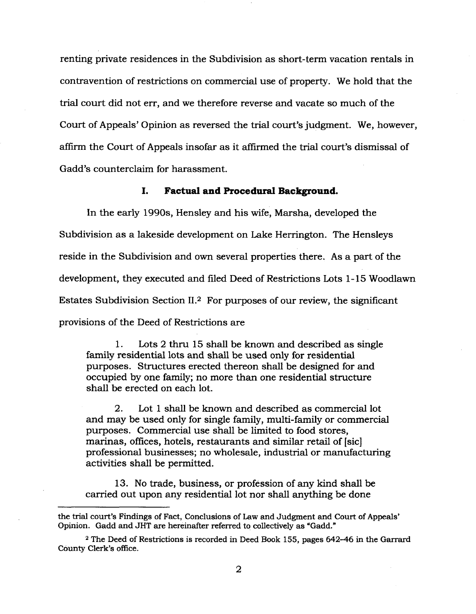renting private residences in the Subdivision as short-term vacation rentals in contravention of restrictions on commercial use of property. We hold that the trial court did not err, and we therefore reverse and vacate so much of the Court of Appeals' Opinion as reversed the trial court's judgment. We, however, affirm the Court of Appeals insofar as it affirmed the trial court's dismissal of Gadd's counterclaim for harassment.

## **I. Factual and Procedural Background.**

In the early 1990s, Hensley and his wife, Marsha, developed the Subdivision as a lakeside development on Lake Herrington. The Hensleys reside in the Subdivision and own several properties there. As a part of the development, they executed and filed Deed of Restrictions Lots 1-15 Woodlawn Estates Subdivision Section II.<sup>2</sup> For purposes of our review, the significant provisions of the Deed of Restrictions are

1. Lots 2 thru 15 shall be known and described as single family residential lots and shall be used only for residential purposes. Structures erected thereon shall be designed for and occupied by one family; no more than one residential structure shall be erected on each lot.

2. Lot <sup>1</sup> shall be known and described as commercial lot and may be used only for single family, multi-family or commercial purposes. Commercial use shall be limited to food stores, marinas, offices, hotels, restaurants and similar retail of [sic] professional businesses; no wholesale, industrial or manufacturing activities shall be permitted.

13. No trade, business, or profession of any kind shall be carried out upon any residential lot nor shall anything be done

 $\overline{2}$ 

the trial court's Findings of Fact, Conclusions of Law and Judgment and Court of Appeals' Opinion. Gadd and JHT are hereinafter referred to collectively as "Gadd."

<sup>&</sup>lt;sup>2</sup> The Deed of Restrictions is recorded in Deed Book 155, pages 642–46 in the Garrard County Clerk's office.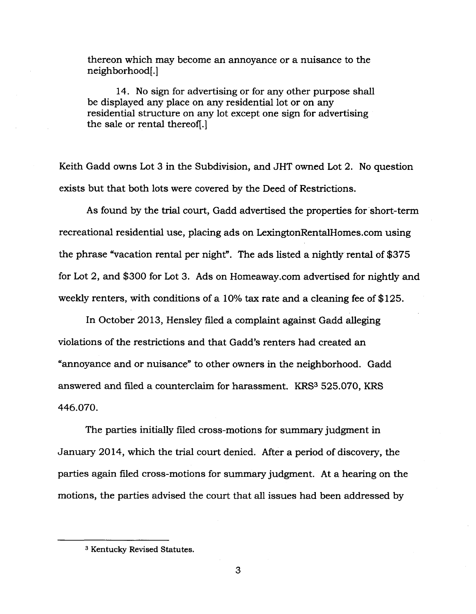thereon which may become an annoyance or a nuisance to the neighborhood[.]

14. No sign for advertising or for any other purpose shall be displayed any place on any residential lot or on any residential structure on any lot except one sign for advertising the sale or rental thereof[.]

Keith Gadd owns Lot 3 in the Subdivision, and JHT owned Lot 2. No question exists but that both lots were covered by the Deed of Restrictions.

As found by the trial court, Gadd advertised the properties for short-term recreational residential use, placing ads on <LexingtonRentalHomes.com> using the phrase "vacation rental per night". The ads listed a nightly rental of \$375 for Lot 2, and \$300 for Lot 3. Ads on <Homeaway.com> advertised for nightly and weekly renters, with conditions of a 10% tax rate and a cleaning fee of \$125.

In October 2013, Hensley filed a complaint against Gadd alleging violations of the restrictions and that Gadd's renters had created an "annoyance and or nuisance" to other owners in the neighborhood. Gadd answered and filed a counterclaim for harassment. KRS3 525.070, KRS 446.070.

The parties initially filed cross-motions for summary judgment in January 2014, which the trial court denied. After a period of discovery, the parties again filed cross-motions for summary judgment. At a hearing on the motions, the parties advised the court that all issues had been addressed by

<sup>3</sup> Kentucky Revised Statutes.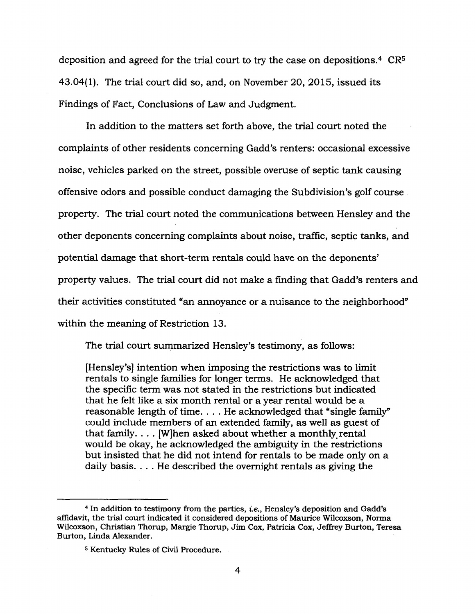deposition and agreed for the trial court to try the case on depositions.4 CR<sup>5</sup> 43.04(1). The trial court did so, and, on November 20, 2015, issued its Findings of Fact, Conclusions of Law and Judgment.

In addition to the matters set forth above, the trial court noted the complaints of other residents concerning Gadd's renters: occasional excessive noise, vehicles parked on the street, possible overuse of septic tank causing offensive odors and possible conduct damaging the Subdivision's golf course property. The trial court noted the communications between Hensley and the other deponents concerning complaints about noise, traffic, septic tanks, and potential damage that short-term rentals could have on the deponents' property values. The trial court did not make a finding that Gadd's renters and their activities constituted "an annoyance or a nuisance to the neighborhood" within the meaning of Restriction 13.

The trial court summarized Hensley's testimony, as follows:

[Hensley's] intention when imposing the restrictions was to limit rentals to single families for longer terms. He acknowledged that the specific term was not stated in the restrictions but indicated that he felt like a six month rental or a year rental would be a reasonable length of time. ... He acknowledged that "single family" could include members of an extended family, as well as guest of that family. . . . [W]hen asked about whether a monthly rental would be okay, he acknowledged the ambiguity in the restrictions but insisted that he did not intend for rentals to be made only on a daily basis. ... He described the overnight rentals as giving the

<sup>&</sup>lt;sup>4</sup> In addition to testimony from the parties, *i.e.*, Hensley's deposition and Gadd's affidavit, the trial court indicated it considered depositions of Maurice Wilcoxson, Norma Wilcoxson, Christian Thorup, Margie Thorup, Jim Cox, Patricia Cox, Jeffrey Burton, Teresa Burton, Linda Alexander.

<sup>5</sup> Kentucky Rules of Civil Procedure.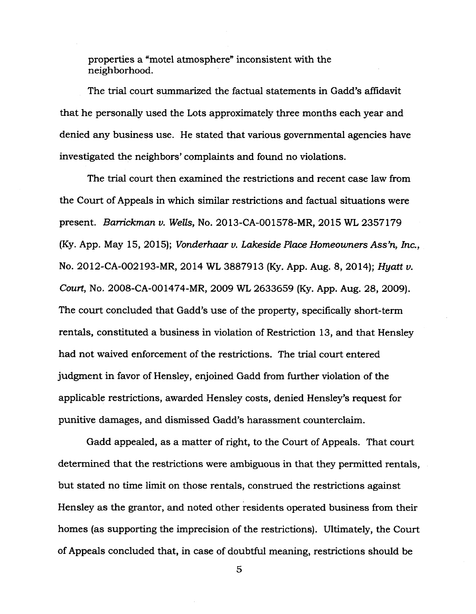properties a "motel atmosphere" inconsistent with the neighborhood.

The trial court summarized the factual statements in Gadd's affidavit that he personally used the Lots approximately three months each year and denied any business use. He stated that various governmental agencies have investigated the neighbors' complaints and found no violations.

The trial court then examined the restrictions and recent case law from the Court of Appeals in which similar restrictions and factual situations were present. *Barrickman v. Wells,* No. 2013-CA-001578-MR, 2015 WL 2357179 (Ky. App. May 15, 2015); *Vonderhaar v. Lakeside Place Homeowners Ass'n, Inc.,* No. 2012-CA-002193-MR, 2014 WL 3887913 (Ky. App. Aug. 8, 2014); *Hyatt v. Court,* No. 2008-CA-001474-MR, 2009 WL 2633659 (Ky. App. Aug. 28, 2009). The court concluded that Gadd's use of the property, specifically short-term rentals, constituted a business in violation of Restriction 13, and that Hensley had not waived enforcement of the restrictions. The trial court entered judgment in favor of Hensley, enjoined Gadd from further violation of the applicable restrictions, awarded Hensley costs, denied Hensley's request for punitive damages, and dismissed Gadd's harassment counterclaim.

Gadd appealed, as a matter of right, to the Court of Appeals. That court determined that the restrictions were ambiguous in that they permitted rentals, but stated no time limit on those rentals, construed the restrictions against Hensley as the grantor, and noted other residents operated business from their homes (as supporting the imprecision of the restrictions). Ultimately, the Court ofAppeals concluded that, in case of doubtful meaning, restrictions should be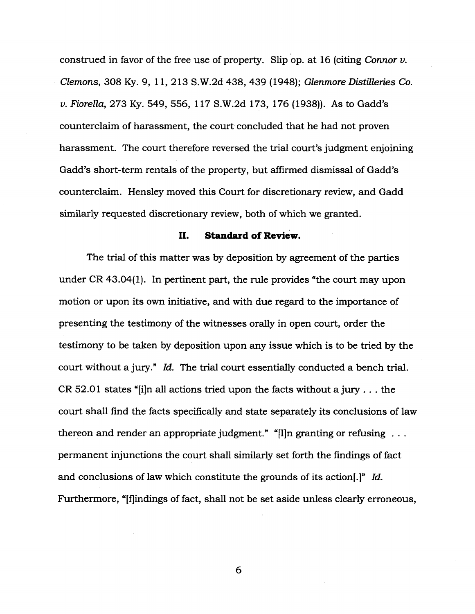construed in favor of the free use of property. Slip op. at 16 (citing *Connor v. Clemons,* 308 Ky. 9, 11, 213 S.W.2d 438, 439 (1948); *Glenmore Distilleries Co. V. Fiorella,* 273 Ky. 549, 556, 117 S.W.2d 173, 176 (1938)). As to Gadd's counterclaim of harassment, the court concluded that he had not proven harassment. The court therefore reversed the trial court's judgment enjoining Gadd's short-term rentals of the property, but affirmed dismissal of Gadd's counterclaim. Hensley moved this Court for discretionary review, and Gadd similarly requested discretionary review, both of which we granted.

## **II. Standard of Review.**

The trial of this matter was by deposition by agreement of the parties under CR 43.04(1). In pertinent part, the rule provides "the court may upon motion or upon its own initiative, and with due regard to the importance of presenting the testimony of the witnesses orally in open court, order the testimony to be taken by deposition upon any issue which is to be tried by the court without a jury." *Id.* The trial court essentially conducted a bench trial. CR 52.01 states "[i]n all actions tried upon the facts without a jury . . . the court shall find the facts specifically and state separately its conclusions of law thereon and render an appropriate judgment." "[I]n granting or refusing  $\dots$ permanent injunctions the court shall similarly set forth the findings of fact and conclusions of law which constitute the grounds of its action).]" *Id.* Furthermore, "[fjindings of fact, shall not be set aside unless clearly erroneous.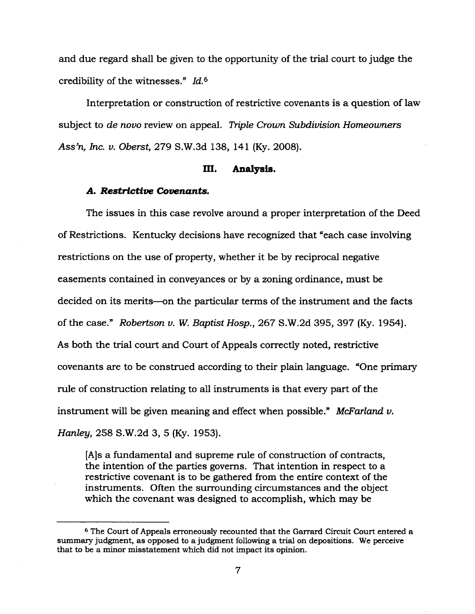and due regard shall be given to the opportunity of the trial court to judge the credibility of the witnesses." *Id.<sup>6</sup>*

Interpretation or construction of restrictive covenants is a question of law subject to *de novo* review on appeal. *Triple Crown Subdivision Homeowners Ass'n, Inc. v. Oberst,* 279 S.W.3d 138, 141 (Ky. 2008).

## **III. Analysis.**

#### *A. Restrictive Covenants.*

The issues in this case revolve around a proper interpretation of the Deed of Restrictions. Kentucky decisions have recognized that "each case involving restrictions on the use of property, whether it be by reciprocal negative easements contained in conveyances or by a zoning ordinance, must be decided on its merits—on the particular terms of the instrument and the facts of the case." *Robertson v. W. Baptist Hosp.,* 267 S.W.2d 395, 397 (Ky. 1954). As both the trial court and Court of Appeals correctly noted, restrictive covenants are to be construed according to their plain language. "One primary rule of construction relating to all instruments is that every part of the instrument will be given meaning and effect when possible." *McFarland v. Hanley,* 258 S.W.2d 3, 5 (Ky. 1953).

[A]s a fundamental and supreme rule of construction of contracts, the intention of the parties governs. That intention in respect to a restrictive covenant is to be gathered from the entire context of the instruments. Often the surrounding circumstances and the object which the covenant was designed to accomplish, which may be

<sup>&</sup>lt;sup>6</sup> The Court of Appeals erroneously recounted that the Garrard Circuit Court entered a summary judgment, as opposed to a judgment following a trial on depositions. We perceive that to be a minor misstatement which did not impact its opinion.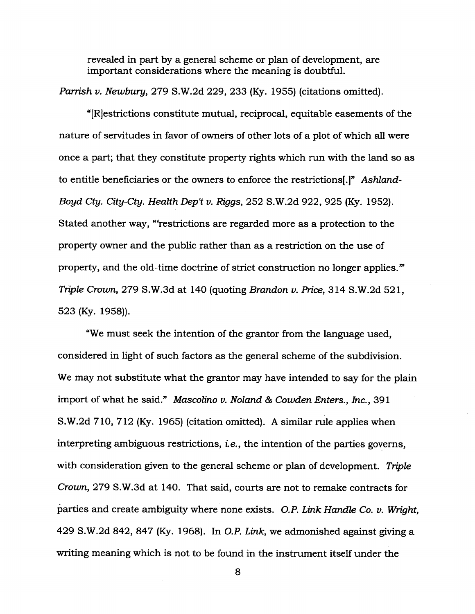revealed in part by a general scheme or plan of development, are important considerations where the meaning is doubtful.

*Parrish v. Newbury,* 279 S.W.2d 229, 233 (Ky. 1955) (citations omitted).

"[R]estrictions constitute mutual, reciprocal, equitable easements of the nature of servitudes in favor of owners of other lots of a plot of which all were once a part; that they constitute property rights which run with the land so as to entitle beneficiaries or the owners to enforce the restrictions[.]" *Ashland-Boyd Cty. City-Cty. Health Dep't v. Riggs,* 252 S.W.2d 922, 925 (Ky. 1952). Stated another way, "'restrictions are regarded more as a protection to the property owner and the public rather than as a restriction on the use of property, and the old-time doctrine of strict construction no longer applies." *Triple Crown,* 279 S.W.3d at 140 (quoting *Brandon v. Price,* 314 S.W.2d 521, 523 (Ky. 1958)).

"We must seek the intention of the grantor from the language used, considered in light of such factors as the general scheme of the subdivision. We may not substitute what the grantor may have intended to say for the plain import of what he said." *Mascolino v. Noland & Cowden Enters., Inc.,* 391 S.W.2d 710, 712 (Ky. 1965) (citation omitted). A similar rule applies when interpreting ambiguous restrictions, *i.e.*, the intention of the parties governs, with consideration given to the general scheme or plan of development. *Triple Crown,* 279 S.W.3d at 140. That said, courts are not to remake contracts for parties and create ambiguity where none exists. *O.P. Link Handle Co. v. Wright,* 429 S.W.2d 842, 847 (Ky. 1968). In *O.P. Link,* we admonished against giving a writing meaning which is not to be found in the instrument itself under the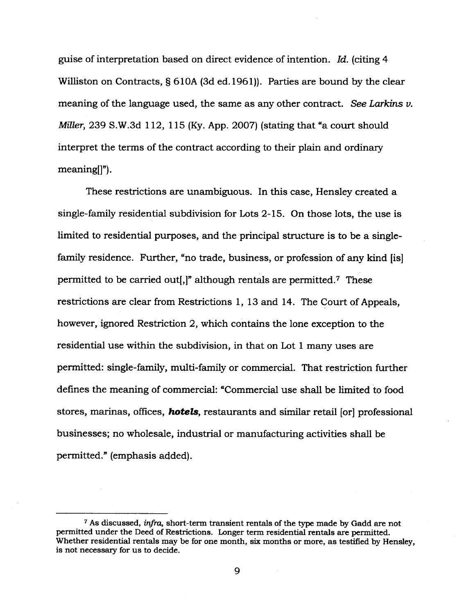guise of interpretation based on direct evidence of intention. *Id.* (citing 4 Williston on Contracts, § 610A (3d ed. 1961)). Parties are bound by the clear meaning of the language used, the same as any other contract. *See Larkins v. Miller,* 239 S.W.3d 112, 115 (Ky. App. 2007) (stating that "a court should interpret the terms of the contract according to their plain and ordinary meaning<sup>[1]</sup>").

These restrictions are unambiguous. In this case, Hensley created a single-family residential subdivision for Lots 2-15. On those lots, the use is limited to residential purposes, and the principal structure is to be a singlefamily residence. Further, "no trade, business, or profession of any kind [is] permitted to be carried out[,]" although rentals are permitted.7 These restrictions are clear from Restrictions 1, 13 and 14. The Court of Appeals, however, ignored Restriction 2, which contains the lone exception to the residential use within the subdivision, in that on Lot <sup>1</sup> many uses are permitted: single-family, multi-family or commercial. That restriction further defines the meaning of commercial: "Commercial use shall be limited to food stores, marinas, offices, *hotels,* restaurants and similar retail [or] professional businesses; no wholesale, industrial or manufacturing activities shall be permitted." (emphasis added).

<sup>7</sup> As discussed, *infra,* short-term transient rentals ofthe type made by Gadd are not permitted under the Deed of Restrictions. Longer term residential rentals are permitted. Whether residential rentals may be for one month, six months or more, as testified by Hensley, is not necessary for us to decide.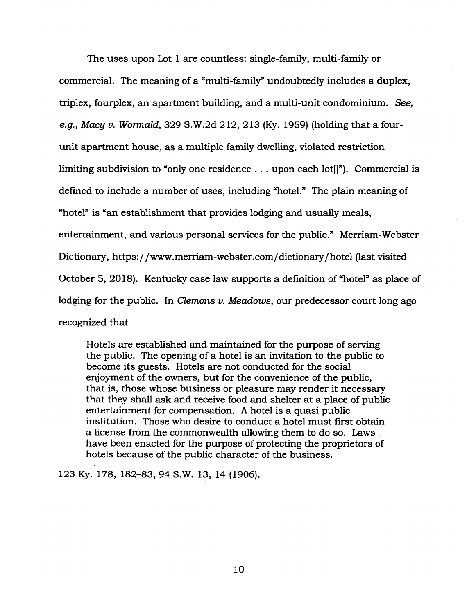The uses upon Lot <sup>1</sup> are countless: single-family, multi-family or commercial. The meaning of a "multi-family" undoubtedly includes a duplex, triplex, fourplex, an apartment building, and a multi-unit condominium. *See, e.g., Macy v. Wormald,* 329 S.W.2d 212, 213 (Ky. 1959) (holding that a fourunit apartment house, as a multiple family dwelling, violated restriction limiting subdivision to "only one residence . . . upon each lot[]"). Commercial is defined to include a number of uses, including "hotel." The plain meaning of "hotel" is "an establishment that provides lodging and usually meals, entertainment, and various personal services for the public." Merriam-Webster Dictionary, https:/[/www.merriam-webster.com/dictionary/hotel](https://www.merriam-webster.com/dictionary/hotel) (last visited October 5, 2018). Kentucky case law supports a definition of "hotel" as place of lodging for the public. In *Clemons v. Meadows,* our predecessor court long ago recognized that

Hotels are established and maintained for the purpose of serving the public. The opening of a hotel is an invitation to the public to become its guests. Hotels are not conducted for the social enjoyment of the owners, but for the convenience of the public, that is, those whose business or pleasure may render it necessary that they shall ask and receive food and shelter at a place of public entertainment for compensation. A hotel is a quasi public institution. Those who desire to conduct a hotel must first obtain a license from the commonwealth allowing them to do so. Laws have been enacted for the purpose of protecting the proprietors of hotels because of the public character of the business.

123 Ky. 178, 182-83, 94 S.W. 13, 14 (1906).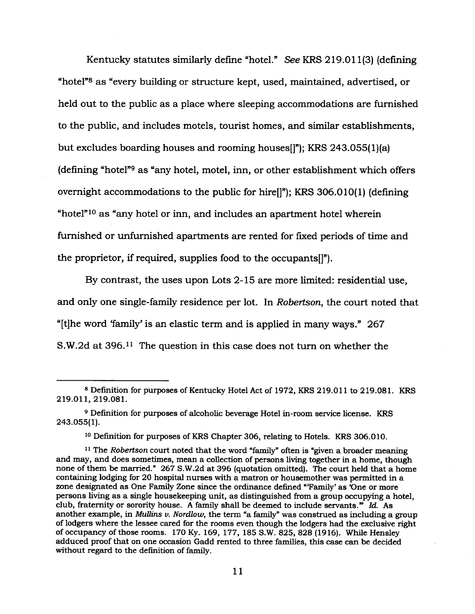Kentucky statutes similarly define "hotel." *See* KRS 219.011(3) (defining "hotel"8 as "every building or structure kept, used, maintained, advertised, or held out to the public as a place where sleeping accommodations are furnished to the public, and includes motels, tourist homes, and similar establishments, but excludes boarding houses and rooming houses[]"); KRS 243.055(l)(a) (defining "hotel"9 as "any hotel, motel, inn, or other establishment which offers overnight accommodations to the public for hire[]"); KRS 306.010(1) (defining "hotel"10 as "any hotel or inn, and includes an apartment hotel wherein furnished or unfurnished apartments are rented for fixed periods of time and the proprietor, if required, supplies food to the occupants[]").

By contrast, the uses upon Lots 2-15 are more limited: residential use, and only one single-family residence per lot. In *Robertson,* the court noted that "[t]he word 'family' is an elastic term and is applied in many ways." 267 S.W.2d at 396.11 The question in this case does not turn on whether the

<sup>8</sup> Definition for purposes of Kentucky Hotel Act of 1972, KRS 219.011 to 219.081. KRS 219.011, 219.081.

<sup>9</sup> Definition for purposes of alcoholic beverage Hotel in-room service license. KRS 243.055(1).

<sup>10</sup> Definition for purposes of KRS Chapter 306, relating to Hotels. KRS 306.010.

<sup>11</sup> The *Robertson* court noted that the word "family" often is "given a broader meaning and may, and does sometimes, mean a collection of persons living together in a home, though none ofthem be married." 267 S.W.2d at 396 (quotation omitted). The court held that a home containing lodging for 20 hospital nurses with a matron or housemother was permitted in a zone designated as One Family Zone since the ordinance defined "'Family' as "One or more persons living as a single housekeeping unit, as distinguished from a group occupying a hotel, club, fraternity or sorority house. A family shall be deemed to include servants.'" *Id. As* another example, in *Mullins v. Nordlow,* the term "a family" was construed as including a group of lodgers where the lessee cared for the rooms even though the lodgers had the exclusive right of occupancy of those rooms. 170 Ky. 169, 177, 185 S.W. 825, 828 (1916). While Hensley adduced proof that on one occasion Gadd rented to three families, this case can be decided without regard to the definition of family.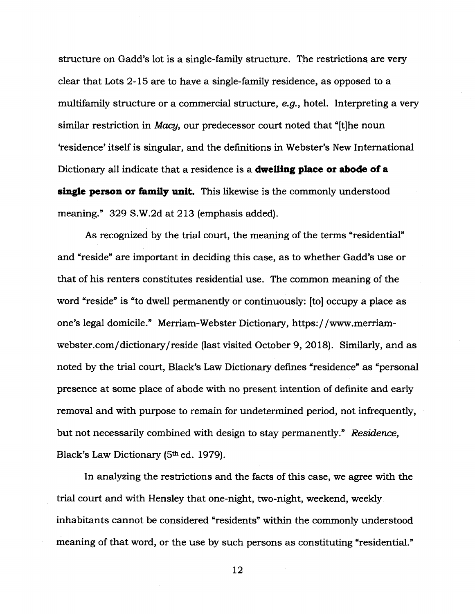structure on Gadd's lot is a single-family structure. The restrictions are very clear that Lots 2-15 are to have a single-family residence, as opposed to a multifamily structure or a commercial structure, *e.g.,* hotel. Interpreting a very similar restriction in *Macy,* our predecessor court noted that "[t]he noun 'residence' itself is singular, and the definitions in Webster's New International Dictionary all indicate that a residence is a **dwelling place or abode of a single person or family unit.** This likewise is the commonly understood meaning." 329 S.W.2d at 213 (emphasis added).

As recognized by the trial court, the meaning of the terms "residential" and "reside" are important in deciding this case, as to whether Gadd's use or that of his renters constitutes residential use. The common meaning of the word "reside" is "to dwell permanently or continuously: [to] occupy a place as one's legal domicile." Merriam-Webster Dictionary, [https://www.merriam](https://www.merriam-webster.com/dictionary/reside)[webster.com/dictionary/reside](https://www.merriam-webster.com/dictionary/reside) (last visited October 9, 2018). Similarly, and as noted by the trial court. Black's Law Dictionary defines "residence" as "personal presence at some place of abode with no present intention of definite and early removal and with purpose to remain for undetermined period, not infrequently, but not necessarily combined with design to stay permanently." *Residence,* Black's Law Dictionary (5<sup>th</sup> ed. 1979).

In analyzing the restrictions and the facts of this case, we agree with the trial court and with Hensley that one-night, two-night, weekend, weekly inhabitants cannot be considered "residents" within the commonly understood meaning of that word, or the use by such persons as constituting "residential."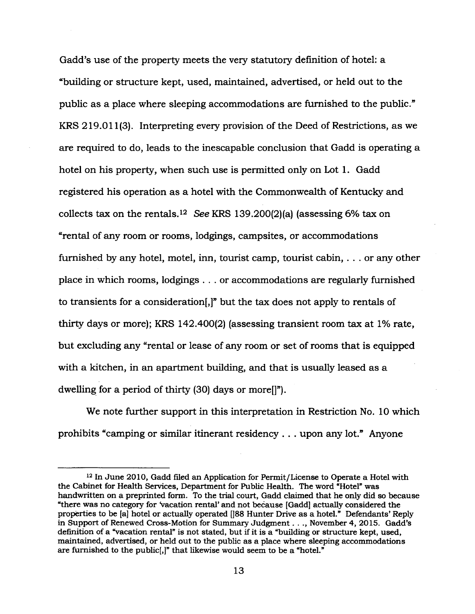Gadd's use of the property meets the very statutory definition of hotel: a "building or structure kept, used, maintained, advertised, or held out to the public as a place where sleeping accommodations are furnished to the public." KRS 219.011(3). Interpreting every provision of the Deed of Restrictions, as we are required to do, leads to the inescapable conclusion that Gadd is operating a hotel on his property, when such use is permitted only on Lot 1. Gadd registered his operation as a hotel with the Commonwealth of Kentucky and collects tax on the rentals.<sup>12</sup> See KRS 139.200(2)(a) (assessing 6% tax on "rental of any room or rooms, lodgings, campsites, or accommodations furnished by any hotel, motel, inn, tourist camp, tourist cabin, ... or any other place in which rooms, lodgings ... or accommodations are regularly furnished to transients for a consideration[,]" but the tax does not apply to rentals of thirty days or more); KRS 142.400(2) (assessing transient room tax at 1% rate, but excluding any "rental or lease of any room or set of rooms that is equipped with a kitchen, in an apartment building, and that is usually leased as a dwelling for a period of thirty (30) days or more[]").

We note further support in this interpretation in Restriction No. 10 which prohibits "camping or similar itinerant residency . . . upon any lot." Anyone

<sup>&</sup>lt;sup>12</sup> In June 2010, Gadd filed an Application for Permit/License to Operate a Hotel with the Cabinet for Health Services, Department for Public Health. The word "Hotel" was handwritten on a preprinted form. To the trial court, Gadd claimed that he only did so because "there was no category for "vacation rental' and not because [Gadd] actually considered the properties to be [a] hotel or actually operated []88 Hunter Drive as a hotel." Defendants' Reply in Support of Renewed Gross-Motion for Summary Judgment. . ., November 4, 2015. Gadd's definition of a "vacation rental" is not stated, but if it is a "building or structure kept, used, maintained, advertised, or held out to the public as a place where sleeping accommodations are furnished to the public<sup>[,]"</sup> that likewise would seem to be a "hotel."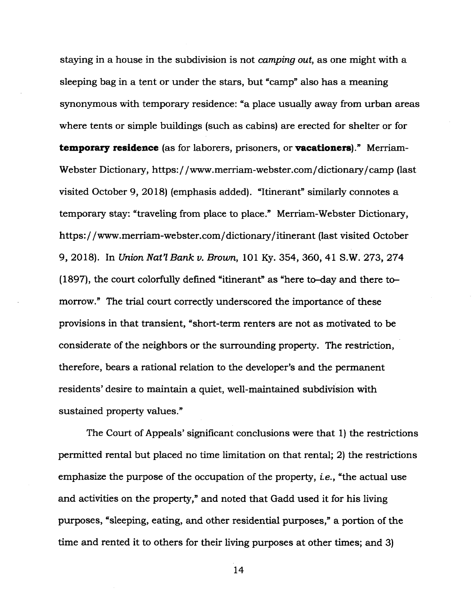staying in a house in the subdivision is not *camping out,* as one might with a sleeping bag in a tent or under the stars, but "camp" also has a meaning synonymous with temporary residence: "a place usually away from urban areas where tents or simple buildings (such as cabins) are erected for shelter or for **temporary residence** (as for laborers, prisoners, or **vacationers)."** Merriam-Webster Dictionary, https://www.merr[iam-webster.com/dictionary/camp](https://www.merTiam-webster.com/dictionary/camp) (last visited October 9, 2018) (emphasis added). "Itinerant" similarly connotes a temporary stay: "traveling from place to place." Merriam-Webster Dictionary, https://www.merr[iam-webster.com/dictionary/itinerant](https://www.merTiam-webster.com/dictionary/itinerant) (last visited October 9, 2018). In *Union Nat'lBank v. Brown,* 101 Ky. 354, 360, 41 S.W. 273, 274 (1897), the court colorfully defined "itinerant" as "here to-day and there tomorrow." The trial court correctly underscored the importance of these provisions in that transient, "short-term renters are not as motivated to be considerate of the neighbors or the surrounding property. The restriction, therefore, bears a rational relation to the developer's and the permanent residents' desire to maintain a quiet, well-maintained subdivision with sustained property values."

The Court of Appeals' significant conclusions were that 1) the restrictions permitted rental but placed no time limitation on that rental; 2) the restrictions emphasize the purpose of the occupation of the property, *i.e.,* "the actual use and activities on the property," and noted that Gadd used it for his living purposes, "sleeping, eating, and other residential purposes," a portion of the time and rented it to others for their living purposes at other times; and 3)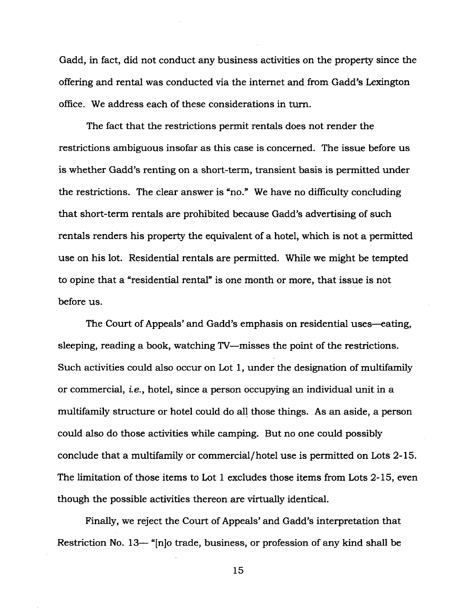Gadd, in fact, did not conduct any business activities on the property since the offering and rental was conducted via the internet and from Gadd's Lexington office. We address each of these considerations in turn.

The fact that the restrictions permit rentals does not render the restrictions ambiguous insofar as this case is concerned. The issue before us is whether Gadd's renting on a short-term, transient basis is permitted under the restrictions. The clear answer is "no." We have no difficulty concluding that short-term rentals are prohibited because Gadd's advertising of such rentals renders his property the equivalent of a hotel, which is not a permitted use on his lot. Residential rentals are permitted. While we might be tempted to opine that a "residential rental" is one month or more, that issue is not before us.

The Court of Appeals' and Gadd's emphasis on residential uses—eating, sleeping, reading a book, watching TV—misses the point of the restrictions. Such activities could also occur on Lot 1, under the designation of multifamily or commercial, *i.e.,* hotel, since a person occupying an individual unit in a multifamily structure or hotel could do all those things. As an aside, a person could also do those activities while camping. But no one could possibly conclude that a multifamily or commercial/hotel use is permitted on Lots 2-15. The limitation of those items to Lot <sup>1</sup> excludes those items from Lots 2-15, even though the possible activities thereon are virtually identical.

Finally, we reject the Court of Appeals' and Gadd's interpretation that Restriction No. 13— "[n]o trade, business, or profession of any kind shall be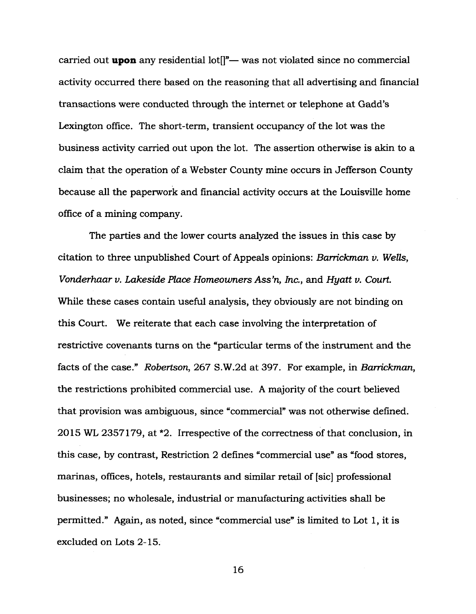carried out **upon** any residential lot[]"— was not violated since no commercial activity occurred there based on the reasoning that all advertising and financial transactions were conducted through the internet or telephone at Gadd's Lexington office. The short-term, transient occupancy of the lot was the business activity carried out upon the lot. The assertion otherwise is akin to a claim that the operation of a Webster County mine occurs in Jefferson County because all the paperwork and financial activity occurs at the Louisville home office of a mining company.

The parties and the lower courts analyzed the issues in this case by citation to three unpublished Court of Appeals opinions: *Barrickman v. Wells*, *Vonderhaar v. Lakeside Place Homeowners Ass'n, Ina,* and *Hyatt v. Court.* While these cases contain useful analysis, they obviously are not binding on this Court. We reiterate that each case involving the interpretation of restrictive covenants turns on the "particular terms of the instrument and the facts of the case." *Robertson,* 267 S.W.2d at 397. For example, in *Barrickman,* the restrictions prohibited commercial use. A majority of the court believed that provision was ambiguous, since "commercial" was not otherwise defined. 2015 WL 2357179, at \*2. Irrespective of the correctness of that conclusion, in this case, by contrast. Restriction 2 defines "commercial use" as "food stores, marinas, offices, hotels, restaurants and similar retail of [sic] professional businesses; no wholesale, industrial or manufacturing activities shall be permitted." Again, as noted, since "commercial use" is limited to Lot 1, it is excluded on Lots 2-15.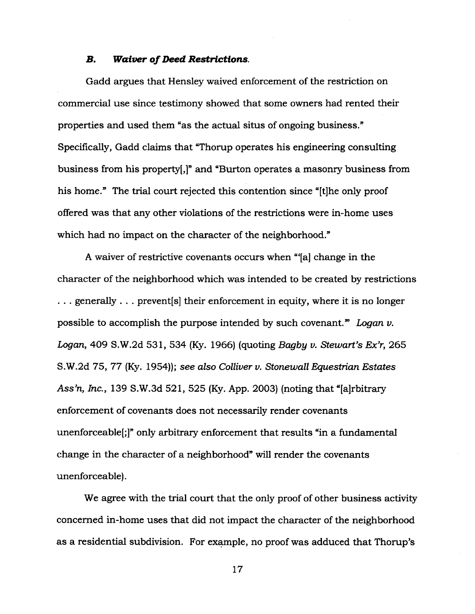#### *B. Waiver ofDeed Restrictions.*

Gadd argues that Hensley waived enforcement of the restriction on commercial use since testimony showed that some owners had rented their properties and used them "as the actual situs of ongoing business." Specifically, Gadd claims that "Thorup operates his engineering consulting business from his property[,]" and "Burton operates a masonry business from his home." The trial court rejected this contention since "[t]he only proof offered was that any other violations of the restrictions were in-home uses which had no impact on the character of the neighborhood."

A waiver of restrictive covenants occurs when "'[a] change in the character of the neighborhood which was intended to be created by restrictions ... generally . . . prevent[s] their enforcement in equity, where it is no longer possible to accomplish the purpose intended by such covenant."' *Logan v. Logan,* 409 S.W.2d 531, 534 (Ky. 1966) (quoting *Bagby v. Stewart's Ex'r,* 265 S.W.2d 75, 77 (Ky. 1954)); *see also Colliver v. Stonewall Equestrian Estates Ass'n, Inc.,* 139 S.W.3d 521, 525 (Ky. App. 2003) (noting that "[a]rbitrary enforcement of covenants does not necessarily render covenants unenforceable);]" only arbitrary enforcement that results "in a fundamental change in the character of a neighborhood" will render the covenants unenforceable).

We agree with the trial court that the only proof of other business activity concerned in-home uses that did not impact the character of the neighborhood as a residential subdivision. For example, no proof was adduced that Thorup's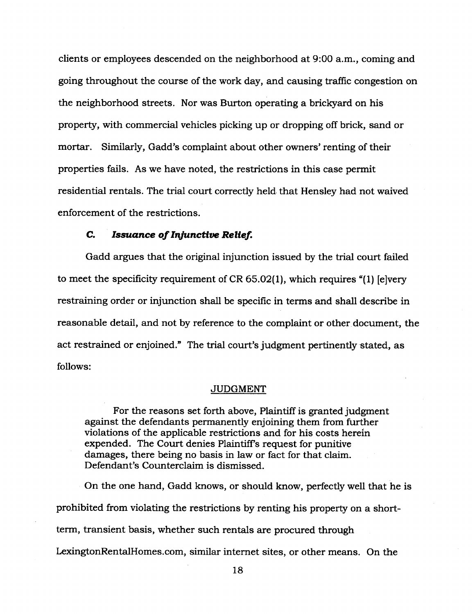clients or employees descended on the neighborhood at 9:00 a.m., coming and going throughout the course of the work day, and causing traffic congestion on the neighborhood streets. Nor was Burton operating a brickyard on his property, with commercial vehicles picking up or dropping off brick, sand or mortar. Similarly, Gadd's complaint about other owners' renting of their properties fails. As we have noted, the restrictions in this case permit residential rentals. The trial court correctly held that Hensley had not waived enforcement of the restrictions.

# **C.** *Issuance ofInjunctive Relief.*

Gadd argues that the original injunction issued by the trial court failed to meet the specificity requirement of CR 65.02(1), which requires "(1) [e]very restraining order or injunction shall be specific in terms and shall describe in reasonable detail, and not by reference to the complaint or other document, the act restrained or enjoined." The trial court's judgment pertinently stated, as follows:

#### JUDGMENT

For the reasons set forth above, Plaintiff is granted judgment against the defendants permanently enjoining them from further violations of the applicable restrictions and for his costs herein expended. The Court denies Plaintiffs request for punitive damages, there being no basis in law or fact for that claim. Defendant's Counterclaim is dismissed.

On the one hand, Gadd knows, or should know, perfectly well that he is prohibited from violating the restrictions by renting his property on a shortterm, transient basis, whether such rentals are procured through <LexingtonRentalHomes.com>, similar internet sites, or other means. On the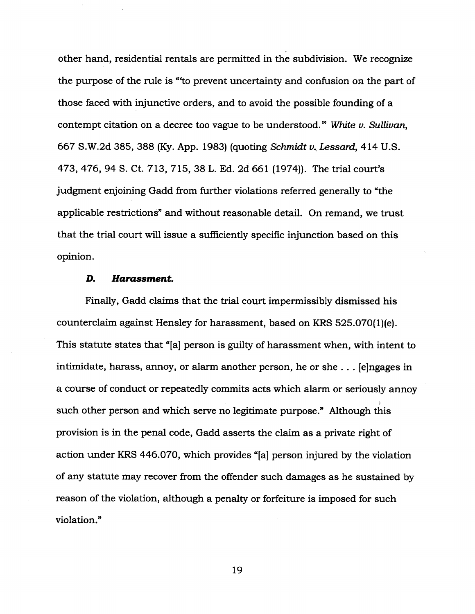other hand, residential rentals are permitted in the subdivision. We recognize the purpose of the rule is "t<sup>o</sup> prevent uncertainty and confusion on the part of those faced with injunctive orders, and to avoid the possible founding of a contempt citation on a decree too vague to be understood." *White v. Sullivan,* 667 S.W.2d 385, 388 (Ky. App. 1983) (quoting *Schmidt v. Lessard,* 414 U.S. 473, 476, 94 S. Ct. 713, 715, 38 L. Ed. 2d 661 (1974)). The trial court's judgment enjoining Gadd from further violations referred generally to "the applicable restrictions" and without reasonable detail. On remand, we trust that the trial court will issue a sufficiently specific injunction based on this opinion.

### *D. Harassment.*

Finally, Gadd claims that the trial court impermissibly dismissed his counterclaim against Hensley for harassment, based on KRS 525.070(l)(e). This statute states that "[a] person is guilty of harassment when, with intent to intimidate, harass, annoy, or alarm another person, he or she . . . [e]ngages in a course of conduct or repeatedly commits acts which alarm or seriously annoy such other person and which serve no legitimate purpose." Although this provision is in the penal code, Gadd asserts the claim as a private right of action under KRS 446.070, which provides "[a] person injured by the violation of any statute may recover from the offender such damages as he sustained by reason of the violation, although a penalty or forfeiture is imposed for such violation."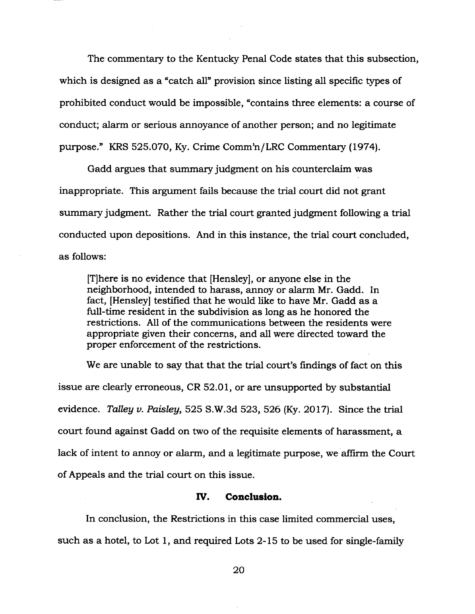The commentary to the Kentucky Penal Code states that this subsection, which is designed as a "catch all" provision since listing all specific types of prohibited conduct would be impossible, "contains three elements: a course of conduct; alarm or serious annoyance of another person; and no legitimate purpose." KRS 525.070, Ky. Crime Comm'n/LRC Commentary (1974).

Gadd argues that summary judgment on his counterclaim was inappropriate. This argument fails because the trial court did not grant summary judgment. Rather the trial court granted judgment following a trial conducted upon depositions. And in this instance, the trial court concluded, as follows:

[T]here is no evidence that [Hensley], or anyone else in the neighborhood, intended to harass, annoy or alarm Mr. Gadd. In fact, [Hensley] testified that he would like to have Mr. Gadd as a full-time resident in the subdivision as long as he honored the restrictions. All of the communications between the residents were appropriate given their concerns, and all were directed toward the proper enforcement of the restrictions.

We are unable to say that that the trial court's findings of fact on this issue are clearly erroneous, CR 52.01, or are unsupported by substantial evidence. Talley v. Paisley, 525 S.W.3d 523, 526 (Ky. 2017). Since the trial court found against Gadd on two of the requisite elements of harassment, a lack of intent to annoy or alarm, and a legitimate purpose, we affirm the Court of Appeals and the trial court on this issue.

# **IV. Conclusion.**

In conclusion, the Restrictions in this case limited commercial uses, such as a hotel, to Lot 1, and required Lots 2-15 to be used for single-family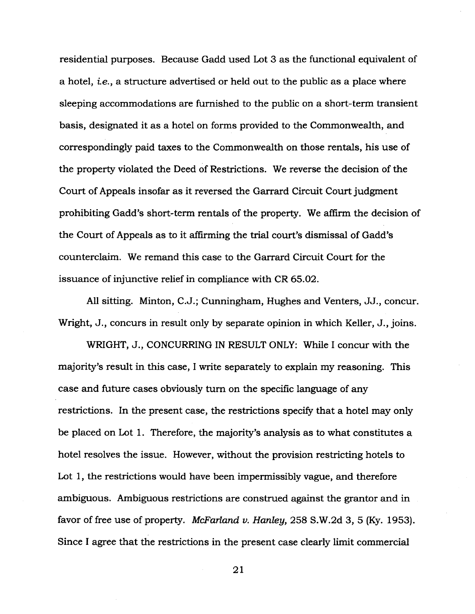residential purposes. Because Gadd used Lot 3 as the functional equivalent of a hotel, *i.e.,* a structure advertised or held out to the public as a place where sleeping accommodations are furnished to the public on a short-term transient basis, designated it as a hotel on forms provided to the Commonwealth, and correspondingly paid taxes to the Commonwealth on those rentals, his use of the property violated the Deed of Restrictions. We reverse the decision of the Court of Appeals insofar as it reversed the Garrard Circuit Court judgment prohibiting Gadd's short-term rentals of the property. We affirm the decision of the Court of Appeals as to it affirming the trial court's dismissal of Gadd's counterclaim. We remand this case to the Garrard Circuit Court for the issuance of injunctive relief in compliance with CR 65.02.

All sitting. Minton, C.J.; Cunningham, Hughes and Venters, JJ., concur. Wright, J., concurs in result only by separate opinion in which Keller, J., joins.

WRIGHT, J., CONCURRING IN RESULT ONLY: While I concur with the majority's result in this case, I write separately to explain my reasoning. This case and future cases obviously turn on the specific language of any restrictions. In the present case, the restrictions specify that a hotel may only be placed on Lot 1. Therefore, the majority's analysis as to what constitutes a hotel resolves the issue. However, without the provision restricting hotels to Lot 1, the restrictions would have been impermissibly vague, and therefore ambiguous. Ambiguous restrictions are construed against the grantor and in favor of free use of property. *McFarland v. Hanley,* 258 S.W.2d 3, 5 (Ky. 1953). Since I agree that the restrictions in the present case clearly limit commercial